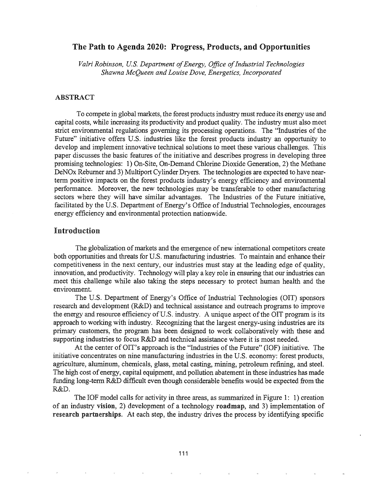# The Path to Agenda 2020: Progress, Products, and Opportunities

*Valri Robinson, U.S. Department ofEnergy, Office ofIndustrial Technologies Shawna McQueen and Louise Dove, Energetics, Incorporated*

#### ABSTRACT

To compete in global markets, the forest products industry must reduce its energy use and capital costs, while increasing its productivity and product quality. The industry must also meet strict environmental regulations governing its processing operations. The "Industries of the Future" initiative offers U.S. industries like the forest products industry an opportunity to develop and implement innovative technical solutions to meet these various challenges. This paper discusses the basic features of the initiative and describes progress in developing three promising technologies: 1) On-Site, On-Demand Chlorine Dioxide Generation, 2) the Methane DeNOx Rebumer and 3) Multiport Cylinder Dryers. The technologies are expected to have nearterm positive impacts on the forest products industry's energy efficiency and environmental performance. Moreover, the new technologies may be transferable to other manufacturing sectors where they will have similar advantages. The Industries of the Future initiative, facilitated by the U.S. Department of Energy's Office of Industrial Technologies, encourages energy efficiency and environmental protection nationwide.

#### Introduction

The globalization of markets and the emergence of new international competitors create both opportunities and threats for U.S. manufacturing industries. To maintain and enhance their competitiveness in the next century, our industries must stay at the leading edge of quality, innovation, and productivity. Technology will playa key role in ensuring that our industries can meet this challenge while also taking the steps necessary to protect human health and the environment.

The U.S. Department of Energy's Office of Industrial Technologies (OIT) sponsors research and development (R&D) and technical assistance and outreach programs to improve the energy and resource efficiency of U.S. industry. A unique aspect of the OIT program is its approach to working with industry. Recognizing that the largest energy-using industries are its primary customers, the program has been designed to work collaboratively with these and supporting industries to focus R&D and technical assistance where it is most needed.

At the center of OIT's approach is the "Industries of the Future" (IOF) initiative. The initiative concentrates on nine manufacturing industries in the U.S. economy: forest products, agriculture, aluminum, chemicals, glass, metal casting, mining, petroleum refining, and steel. The high cost of energy, capital equipment, and pollution abatement in these industries has made funding long-term R&D difficult even though considerable benefits would be expected from the R&D.

The IOF model calls for activity in three areas, as summarized in Figure 1: 1) creation of an industry vision, 2) development of a technology roadmap, and 3) implementation of research partnerships. At each step, the industry drives the process by identifying specific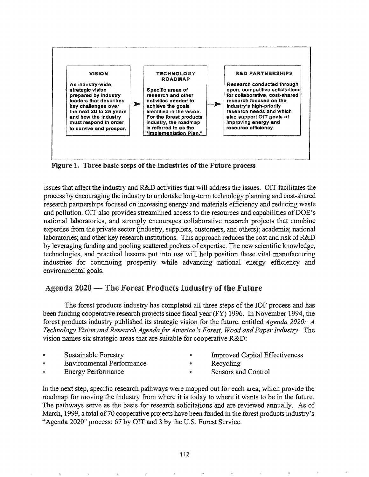

Figure 1. Three basic steps of the Industries of the Future process

issues that affect the industry and  $R&D$  activities that will-address the issues. OIT facilitates the process by encouraging the industry to undertake long-term technology planning and cost-shared research partnerships focused on increasing energy and materials efficiency and reducing waste and pollution. OIT also provides streamlined access to the resources and capabilities of DOE's national laboratories, and strongly encourages collaborative research projects that combine expertise from the private sector (industry, suppliers, customers, and others); academia; national laboratories; and other key research institutions. This approach reduces the cost and risk ofR&D by leveraging funding and pooling scattered pockets of expertise. The new scientific knowledge, technologies, and practical lessons put into use will help position these vital manufacturing industries for continuing prosperity while advancing national energy efficiency and environmental goals.

# Agenda 2020 -- The Forest Products Industry of the Future

The forest products industry has completed all three steps of the IOF process and has been funding cooperative research projects since fiscal year (FY) 1996. In November 1994, the forest products industry published its strategic vision for the future, entitled *Agenda 2020: A Technology Vision and Research Agenda/orAmerica's Forest, Wood andPaperIndustry.* The vision names six strategic areas that are suitable for cooperative R&D:

- Sustainable Forestry
	-
- Environmental Performance
- Improved Capital Effectiveness Recycling ۰

Energy Performance

Sensors and Control  $\bullet$ 

In the next step, specific research pathways were mapped out for each area, which provide the roadmap for moving the industry from where it is today to where it wants to be in the future. The pathways serve as the basis for research solicitations and are reviewed annually. As of March, 1999, a total of 70 cooperative projects have been funded in the forest products industry's "Agenda 2020" process: 67 by OIT and 3 by the U.S. Forest Service.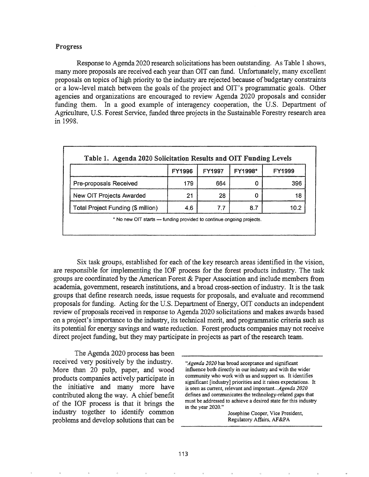#### Progress

Response to Agenda 2020 research solicitations has been outstanding. As Table 1 shows, many more proposals are received each year than OIT can fund. Unfortunately, many excellent proposals on topics of high priority to the industry are rejected because of budgetary constraints or a low-level match between the goals of the project and OIT's programmatic goals. Other agencies and organizations are encouraged to review Agenda 2020 proposals and consider funding them. In a good example of interagency cooperation, the U.S. Department of Agriculture, U.S. Forest Service, funded three projects in the Sustainable Forestry research area in 1998.

|                                    | <b>FY1996</b> | <b>FY1997</b> | <b>FY1998*</b> | <b>FY1999</b> |
|------------------------------------|---------------|---------------|----------------|---------------|
| <b>Pre-proposals Received</b>      | 179           | 664           |                | 396           |
| New OIT Projects Awarded           | 21            | 28            |                | 18            |
| Total Project Funding (\$ million) | 4.6           | 7.7           | 8.7            | 10 2          |

Six task groups, established for each of the key research areas identified in the vision, are responsible for implementing the IOF process for the forest products industry. The task groups are coordinated by the American Forest & Paper Association and include members from academia, government, research institutions, and a broad cross-section of industry. It is the task groups that define research needs, issue requests for proposals, and evaluate and recommend proposals for funding. Acting for the U.S. Department of Energy, OIT conducts an independent review of proposals received in response to Agenda 2020 solicitations and makes awards based on a project's importance to the industry, its technical merit, and programmatic criteria such as its potential for energy savings and waste reduction. Forest products companies may not receive direct project funding, but they may participate in projects as part of the research team.

The Agenda 2020 process has been received very positively by the industry. More than 20 pulp, paper, and wood products companies actively participate in the initiative and many more have contributed along the way. A chief benefit of the IOF process is that it brings the industry together to identify common problems and develop solutions that can be

*"Agenda 2020* has broad acceptance and significant influence both directly in our industry and with the wider community who work with us and support us. It identifies significant [industry] priorities and it raises expectations. It is seen as current, relevant and *important...Agenda 2020* defines and communicates the technology-related gaps that must be addressed to achieve a desired state for this industry in the year 2020."

> Josephine Cooper, Vice President, Regulatory Affairs, AF&PA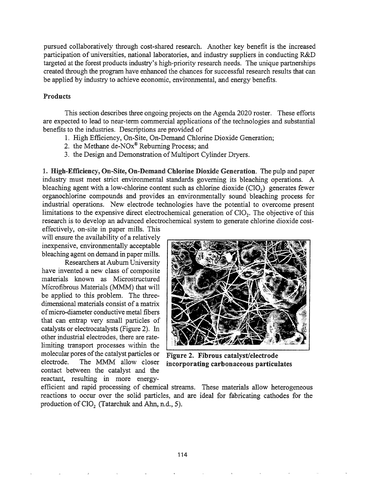pursued collaboratively through cost-shared research. Another key benefit is the increased participation of universities, national laboratories, and industry suppliers in conducting R&D targeted at the forest products industry's high-priority research needs. The unique partnerships created through the program have enhanced the chances for successful research results that can be applied by industry to achieve economic, environmental, and energy benefits.

## Products

This section describes three ongoing projects on the Agenda 2020 roster. These efforts are expected to lead to near-term commercial applications of the technologies and substantial benefits to the industries. Descriptions are provided of

- 1. High Efficiency, On-Site, On-Demand Chlorine Dioxide Generation;
- 2. the Methane de-NOx® Rebuming Process; and
- 3. the Design and Demonstration of Multiport Cylinder Dryers.

1. High-Efficiency, On-Site, On-Demand Chlorine Dioxide Generation. The pulp and paper industry must meet strict environmental standards governing its bleaching operations. A bleaching agent with a low-chlorine content such as chlorine dioxide  $(CIO<sub>2</sub>)$  generates fewer organochlorine compounds and provides an environmentally sound bleaching process for industrial operations. New electrode technologies have the potential to overcome present limitations to the expensive direct electrochemical generation of CIO<sub>2</sub>. The objective of this research is to develop an advanced electrochemical system to generate chlorine dioxide cost-

effectively, on-site in paper mills. This will ensure the availability of a relatively inexpensive, environmentally acceptable bleaching agent on demand in paper mills.

Researchers at Auburn University have invented a new class of composite materials known as Microstructured Microfibrous Materials (MMM) that will be applied to this problem. The threedimensional materials consist of a matrix ofmicro-diameter conductive metal fibers that can entrap very small particles of catalysts or electrocatalysts (Figure 2). In other industrial electrodes, there are ratelimiting transport processes within the molecular pores of the catalyst particles or Figure 2. Fibrous catalyst/electrode<br>electrode. The MMM allow closer incorporating carbonaceous particul contact between the catalyst and the reactant, resulting in more energy-



incorporating carbonaceous particulates

efficient and rapid processing of chemical streams. These materials allow heterogeneous reactions to occur over the solid particles, and are ideal for fabricating cathodes for the production of  $CIO<sub>2</sub>$  (Tatarchuk and Ahn, n.d., 5).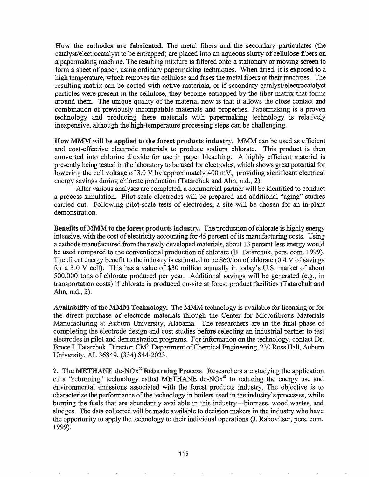How the cathodes are fabricated. The metal fibers and the secondary particulates (the catalyst/electrocatalyst to be entrapped) are placed into an aqueous slurry of cellulose fibers on a papermaking machine. The resulting mixture is filtered onto a stationary or moving screen to form a sheet of paper, using ordinary papermaking techniques. When dried, it is exposed to a high temperature, which removes the cellulose and fuses the metal fibers at their junctures. The resulting matrix can be coated with active materials, or if secondary catalyst/electrocatalyst particles were present in the cellulose, they become entrapped by the fiber matrix that forms around them. The unique quality of the material now is that it allows the close contact and combination of previously incompatible materials and properties. Papermaking is a proven technology and producing these materials with papermaking technology is relatively inexpensive, although the high-temperature processing steps can be challenging.

How MMM will be applied to the forest products industry. MMM can be used as efficient and cost-effective electrode materials to produce sodium chlorate. This product is then converted into chlorine dioxide for use in paper bleaching. A highly efficient material is presently being tested in the laboratory to be used for electrodes, which shows great potential for lowering the cell voltage of  $3.0 \text{ V}$  by approximately  $400 \text{ mV}$ , providing significant electrical energy savings during chlorate production (Tatarchuk and Ahn, n.d., 2).

After various analyses are completed, a commercial partner will be identified to conduct a process simulation. Pilot-scale electrodes will be prepared and additional "aging" studies carried out. Following pilot-scale tests of electrodes, a site will be chosen for an in-plant demonstration.

Benefits of MMM to the forest products industry. The production of chlorate is highly energy intensive, with the cost of electricity accounting for 45 percent of its manufacturing costs. Using a cathode manufactured from the newly developed materials, about 13 percent less energy would be used compared to the conventional production of chlorate (B. Tatarchuk, pers. com. 1999). The direct energy benefit to the industry is estimated to be \$60/ton of chlorate (0.4 V of savings for a 3.0 V cell). This has a value of \$30 million annually in today's U.S. market of about 500,000 tons of chlorate produced per year. Additional savings will be generated (e.g., in transportation costs) if chlorate is produced on-site at forest product facilities (Tatarchuk and Ahn, n.d., 2).

Availability of the MMM Technology. The MMM technology is available for licensing or for the direct purchase of electrode materials through the Center for Microfibrous Materials Manufacturing at Auburn University, Alabama. The researchers are in the final phase of completing the electrode design and cost studies before selecting an industrial partner to test electrodes in pilot and demonstration programs. For information on the technology, contact Dr. Bruce J. Tatarchuk, Director, CM<sup>3</sup>, Department of Chemical Engineering, 230 Ross Hall, Auburn University, AL 36849, (334) 844-2023.

2. The METHANE de-NO $x^{\circ}$  Reburning Process. Researchers are studying the application of a "reburning" technology called METHANE de-NO $x^{\circ}$  to reducing the energy use and environmental emissions associated with the forest products industry. The objective is to characterize the performance of the technology in boilers used in the industry's processes, while burning the fuels that are abundantly available in this industry-biomass, wood wastes, and sludges. The data collected will be made available to decision makers in the industry who have the opportunity to apply the technology to their individual operations (J. Rabovitser, pers. com. 1999).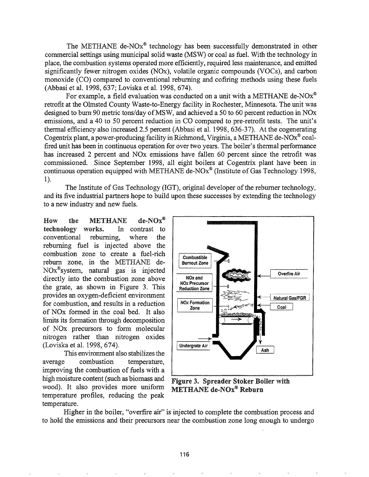The METHANE de-NOx<sup>®</sup> technology has been successfully demonstrated in other commercial settings using municipal solid waste (MSW) or coal as fuel. With the technology in place, the combustion systems operated more efficiently, required less maintenance, and emitted significantly fewer nitrogen oxides (NOx), volatile organic compounds (VOCs), and carbon monoxide (CO) compared to conventional rebuming and cofiring methods using these fuels (Abbasi et al. 1998, 637; Loviska et al. 1998, 674).

For example, a field evaluation was conducted on a unit with a METHANE de-NO $x^{\circledast}$ retrofit at the Olmsted County Waste-to-Energy facility in Rochester, Minnesota. The unit was designed to burn 90 metric tons/day of MSW, and achieved a 50 to 60 percent reduction in NOx emissions, and a 40 to 50 percent reduction in CO compared to pre-retrofit tests. The unit's thermal efficiency also increased 2.5 percent (Abbasi et al. 1998, 636-37). At the cogenerating Cogentrix plant, a power-producing facility in Richmond, Virginia, a METHANE de-NOx® coalfired unit has been in continuous operation for over two years. The boiler's thermal performance has increased 2 percent and NOx emissions have fallen 60 percent since the retrofit was commissioned. Since September 1998, all eight boilers at Cogentrix plant have been in continuous operation equipped with METHANE de-NO $x^{\circ}$  (Institute of Gas Technology 1998, 1).

The Institute of Gas Technology (IGT), original developer of the reburner technology, and its five industrial partners hope to build upon these successes by extending the technology to a new industry and new fuels.

How the METHANE de-NOx® technology works. In contrast to conventional rebuming, where the rebuming fuel is injected above the combustion zone to create a fuel-rich rebum zone, in the METHANE de-NOx®system, natural gas is injected directly into the combustion zone above the grate, as shown in Figure 3. This provides an oxygen-deficient environment for combustion, and results in a reduction of NOx fonned in the coal bed. It also limits its formation through decomposition of NO<sub>x</sub> precursors to form molecular nitrogen rather than nitrogen oxides (Loviska et al. 1998, 674).

This environment also stabilizes the average combustion temperature, improving the combustion of fuels with a high moisture content (such as biomass and Figure 3. Spreader Stoker Boiler with wood). It also provides more uniform  $METHANE$  de-NO $x^{\circ}$  Reburn temperature profiles, reducing the peak temperature..



Higher in the boiler, "overfire air" is injected to complete the combustion process and to hold the emissions and their precursors near the combustion zone long enough to undergo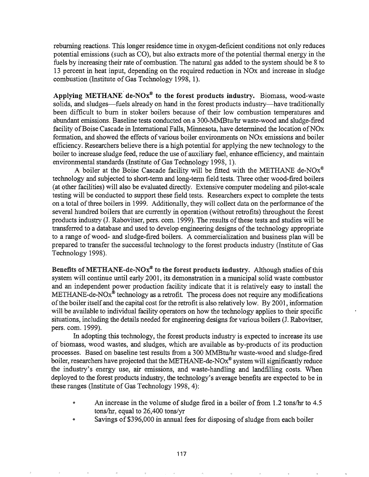rebuming reactions. This longer residence time in oxygen-deficient conditions not only reduces potential emissions (such as CO), but also extracts more of the potential thermal energy in the fuels by increasing their rate of combustion. The natural gas added to the system should be 8 to 13 percent in heat input, depending on the required reduction in NOx and increase in sludge combustion (Institute of Gas Technology 1998, 1).

Applying METHANE de-NO $x^*$  to the forest products industry. Biomass, wood-waste solids, and sludges—fuels already on hand in the forest products industry—have traditionally been difficult to bum in stoker boilers because of their low combustion temperatures and abundant emissions. Baseline tests conducted on a 300-MMBtu/hr waste-wood and sludge-fired facility of Boise Cascade in International Falls, Minnesota, have determined the location of NO<sub>x</sub> formation, and showed the effects of various boiler environments on NO<sub>x</sub> emissions and boiler efficiency. Researchers believe there is a high potential for applying the new technology to the boiler to increase sludge feed, reduce the use of auxiliary fuel, enhance efficiency, and maintain environmental standards (Institute of Gas Technology 1998, 1).

A boiler at the Boise Cascade facility will be fitted with the METHANE de-NO $x^{\circledast}$ technology and subjected to short-term and long-term field tests. Three other wood-fired boilers (at other facilities) will also be evaluated directly. Extensive computer modeling and pilot-scale testing will be conducted to support these field tests. Researchers expect to complete the tests on a total of three boilers in 1999. Additionally, they will collect data on the performance of the several hundred boilers that are currently in operation (without retrofits) throughout the forest products industry (J. Rabovitser, pers. com. 1999). The results of these tests and studies will be transferred to a database and used to develop engineering designs of the technology appropriate to a range of wood- and sludge-fired boilers. A commercialization and business plan will be prepared to transfer the successful technology to the forest products industry (Institute of Gas Technology 1998).

Benefits of METHANE-de-NO $x^{\otimes}$  to the forest products industry. Although studies of this system will continue until early 2001, its demonstration in a municipal solid waste combustor and an independent power production facility indicate that it is relatively easy to install the METHANE-de-NOx<sup>®</sup> technology as a retrofit. The process does not require any modifications ofthe boiler itselfand the capital cost for the retrofit is also relatively low. By 2001, information will be available to individual facility operators on how the technology applies to their specific situations, including the details needed for engineering designs for various boilers (J. Rabovitser, pers. com. 1999).

In adopting this technology, the forest products industry is expected to increase its use of biomass, wood wastes, and sludges, which are available as by-products of its production processes. Based on baseline test results from a 300 MMBtu/hr waste-wood and sludge-fired boiler, researchers have projected that the METHANE-de-NOx® system will significantly reduce the industry's energy use, air emissions, and waste-handling and landfilling costs. When deployed to the forest products industry, the technology's average benefits are expected to be in these ranges (Institute of Gas Technology 1998, 4):

- An increase in the volume of sludge fired in a boiler of from 1.2 tons/hr to 4.5 tons/ $hr$ , equal to 26,400 tons/ $yr$
- Savings of \$396,000 in annual fees for disposing of sludge from each boiler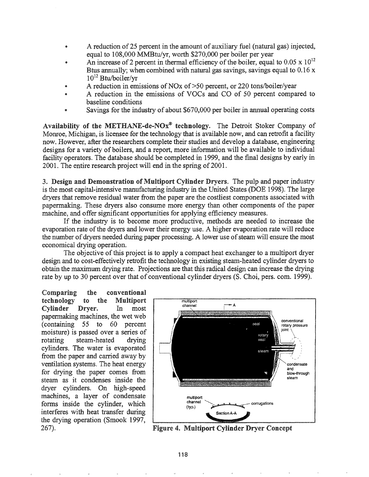- A reduction of25 percent in the amount of auxiliary fuel (natural gas) injected, equal to 108,000 MMBtu/yr, worth \$270,000 per boiler per year
- An increase of 2 percent in thermal efficiency of the boiler, equal to 0.05 x  $10^{12}$ Btus annually; when combined with natural gas savings, savings equal to 0.16 x  $10^{12}$  Btu/boiler/yr
- A reduction in emissions of NO<sub>x</sub> of  $>50$  percent, or 220 tons/boiler/year
- A reduction in the emissions of VOCs and CO of 50 percent compared to baseline conditions
- Savings for the industry of about \$670,000 per boiler in annual operating costs

Availability of the METHANE-de-NO $x^{\otimes}$  technology. The Detroit Stoker Company of Monroe, Michigan, is licensee for the technology that is available now, and can retrofit a facility now. However, after the researchers complete their studies and develop a database, engineering designs for a variety of boilers, and a report, more information will be available to individual facility operators. The database should be completed in 1999, and the final designs by early in 2001. The entire research project will end in the spring of 2001.

3. Design and Demonstration of Multiport Cylinder Dryers. The pulp and paper industry is the most capital-intensive manufacturing industry in the United States (DOE 1998). The large dryers that remove residual water from the paper are the costliest components associated with papermaking. These dryers also consume more energy than other components of the paper machine, and offer significant opportunities for applying efficiency measures.

If the industry is to become more productive, methods are needed to increase the evaporation rate of the dryers and lower their energy use. A higher evaporation rate will reduce the number of dryers needed during paper processing. A lower use of steam will ensure the most economical drying operation.

The objective of this project is to apply a compact heat exchanger to a multiport dryer design and to cost-effectively retrofit the technology in existing steam-heated cylinder dryers to obtain the maximum drying rate. Projections are that this radical design can increase the drying rate by up to 30 percent over that of conventional cylinder dryers (8. Choi, pers. com. 1999).

Comparing the conventional technology to Multiport Cylinder Dryer. In most papermaking machines, the wet web (containing 55 to 60 percent moisture) is passed over a series of rotating steam-heated drying cylinders. The water is evaporated from the paper and carried away by ventilation systems. The heat energy for drying the paper comes from steam as it condenses inside the dryer cylinders. On high-speed machines, a layer of condensate forms inside the cylinder, which interferes with heat transfer during the drying operation (Smook 1997, 267).



Figure 4. Multiport Cylinder Dryer Concept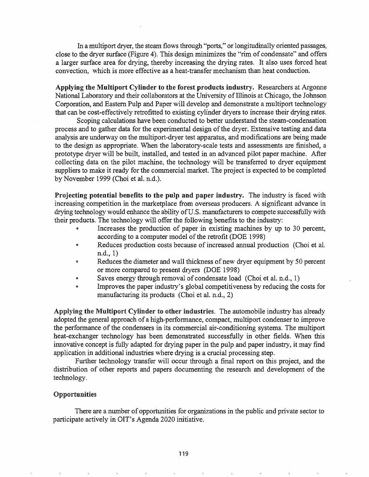In a multiport dryer, the steam flows through "ports," or longitudinally oriented passages, close to the dryer surface (Figure 4). This design minimizes the "rim of condensate" and offers a larger surface area for drying, thereby increasing the drying rates. It also uses forced heat convection, which is more effective as a heat-transfer mechanism than heat conduction.

Applying the Multiport Cylinder to the forest products industry. Researchers at Argonne National Laboratory and their collaborators at the University of Illinois at Chicago, the Johnson Corporation, and Eastern Pulp and Paper will develop and demonstrate a multiport technology that can be cost-effectively retrofitted to existing cylinder dryers to increase their drying rates.

Scoping calculations have been conducted to better understand the steam-condensation process and to gather data for the experimental design of the dryer. Extensive testing and data analysis are underway on the multiport-dryer test apparatus, and modifications are being made to the design as appropriate. When the laboratory-scale tests and assessments are finished, a prototype dryer will be built, installed, and tested in an advanced pilot paper machine. After collecting data on the pilot machine, the technology will be transferred to dryer equipment suppliers to make it ready for the commercial market. The project is expected to be completed by November 1999 (Choi et al. n.d.).

Projecting potential benefits to the pulp and paper industry. The industry is faced with increasing competition in the marketplace from overseas producers. A significant advance in drying technology would enhance the ability of U.S. manufacturers to compete successfully with their products. The technology will offer the following benefits to the industry:

- Increases the production of paper in existing machines by up to 30 percent, according to a computer model of the retrofit (DOE 1998)
- Reduces production costs because of increased annual production (Choi et al. n.d., 1)
- **Reduces the diameter and wall thickness of new dryer equipment by 50 percent** or more compared to present dryers (DOE 1998)
- Saves energy through removal of condensate load (Choi et al. n.d., 1)
- Improves the paper industry's global competitiveness by reducing the costs for manufacturing its products (Choi et al. n.d.,  $2$ )

Applying the MuItiport Cylinder to other industries. The automobile industry has already adopted the general approach of a high-perfonnance, compact, multiport condenser to improve the performance of the condensers in its commercial air-conditioning systems. The multiport heat-exchanger technology has been demonstrated successfully in other fields. When this innovative concept is fully adapted for drying paper in the pulp and paper industry, it may find application in additional industries where drying is a crucial processing step.

Further technology transfer will occur through a final report on this project, and the distribution of other reports and papers documenting the research and development of the technology.

### Opportunities

There are a number of opportunities for organizations in the public and private sector to participate actively in OIT's Agenda 2020 initiative.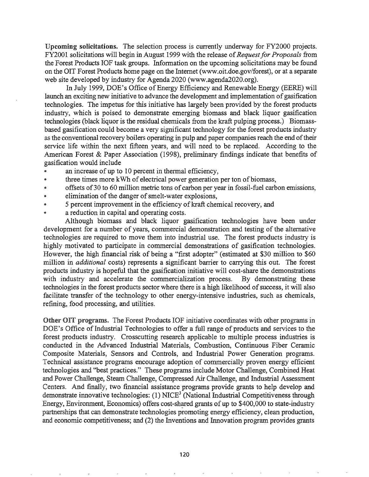Upcoming solicitations. The selection process is currently underway for FY2000 projects. FY2001 solicitations will begin in August 1999 with the release of*Request/or Proposals* from the Forest Products IOF task groups. Information on the upcoming solicitations may be found on the OIT Forest Products home page on the Internet (www.oit.doe.gov/forest), or at a separate web site developed by industry for Agenda 2020 (www.agenda2020.org).

In July 1999, DOE's Office of Energy Efficiency and Renewable Energy (EERE) will launch an exciting new initiative to advance the development and implementation of gasification technologies. The impetus for this initiative has largely been provided by the forest products industry, which is poised to demonstrate emerging biomass and black liquor gasification technologies (black liquor is the residual chemicals from the kraft pulping process.) Biomassbased gasification could become a very significant technology for the forest products industry as the conventional recovery boilers operating in pulp and paper companies reach the end of their service life within the next fifteen years, and will need to be replaced. According to the American Forest & Paper Association (1998), preliminary findings indicate that benefits of gasification would include

- an increase of up to 10 percent in thermal efficiency,
- three times more kWh of electrical power generation per ton of biomass,
- @ offsets of30 to 60 million metric tons of carbon per year in fossil-fuel carbon emissions,
- e elimination of the danger of smelt-water explosions,
- @ 5 percent improvement in the efficiency ofkraft chemical recovery, and
- a reduction in capital and operating costs.

Although biomass and black liquor gasification technologies have been under development for a number of years, commercial demonstration and testing of the alternative technologies are required to move them into industrial use. The forest products industry is highly motivated to participate in commercial demonstrations of gasification technologies. However, the high financial risk of being a "first adopter" (estimated at \$30 million to \$60 million in *additional* costs) represents a significant barrier to carrying this out. The forest products industry is hopeful that the gasification initiative will cost-share the demonstrations with industry and accelerate the commercialization process. By demonstrating these technologies in the forest products sector where there is a high likelihood of success, it will also facilitate transfer of the technology to other energy-intensive industries, such as chemicals, refining, food processing, and utilities.

Other OIT programs. The Forest Products IOF initiative coordinates with other programs in DOE's Office of Industrial Technologies to offer a full range of products and services to the forest products industry. Crosscutting research applicable to multiple process industries is conducted in the Advanced Industrial Materials, Combustion, Continuous Fiber Ceramic Composite Materials, Sensors and Controls, and Industrial Power Generation programs. Technical assistance programs encourage adoption of commercially proven energy efficient technologies and "best practices." These programs include Motor Challenge, Combined Heat and Power Challenge, Steam Challenge, Compressed Air Challenge, and Industrial Assessment Centers. And fmally, two financial assistance programs provide grants to help develop and demonstrate innovative technologies:  $(1)$  NICE<sup>3</sup> (National Industrial Competitiveness through Energy, Environment, Economics) offers cost-shared grants of up to \$400,000 to state-industry partnerships that can demonstrate technologies promoting energy efficiency, clean production, and economic competitiveness; and (2) the Inventions and Innovation program provides grants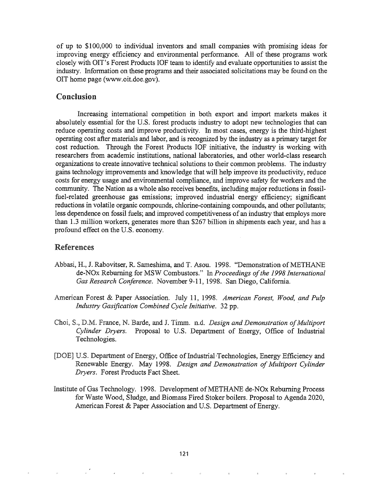of up to \$100,000 to individual inventors and small companies with promising ideas for improving energy efficiency and environmental performance. All of these programs work closely with OIT's Forest Products IOF team to identify and evaluate opportunities to assist the industry. Information on these programs and their associated solicitations may be found on the OIT home page (www.oit.doe.gov).

# Conclusion

Increasing international competition in both export and import markets makes it absolutely essential for the U.S. forest products industry to adopt new technologies that can reduce operating costs and improve productivity. In most cases, energy is the third-highest operating cost after materials and labor, and is recognized by the industry as a primary target for cost reduction. Through the Forest Products IOF initiative, the industry is working with researchers from academic institutions, national laboratories, and other world-class research organizations to create innovative technical solutions to their common problems. The industry gains technology improvements and knowledge that will help improve its productivity, reduce costs for energy usage and environmental compliance, and improve safety for workers and the community. The Nation as a whole also receives benefits, including major reductions in fossilfuel-related greenhouse gas emissions; improved industrial energy efficiency; significant reductions in volatile organic compounds, chlorine-containing compounds, and other pollutants; less dependence on fossil fuels; and improved competitiveness of an industry that employs more than 1.3 million workers, generates more than \$267 billion in shipments each year, and has a profound effect on the U.S. economy.

# References

- Abbasi, H., J. Rabovitser, R. Sameshima, and T. Asou. 1998. "Demonstration of METHANE de-NOx Reburning for MSW Combustors." In *Proceedings ofthe* 1998 *International Gas Reseqrch Conference.* November 9-11, 1998. San Diego, California.
- American Forest & Paper Association. July 11, 1998. American Forest, Wood, and Pulp *Industry Gasification Combined Cycle Initiative.* 32 pp.
- France, N. Barde, and J. Timm. n.d. *Design and Demonstration ofMultiport Cylinder Dryers.* Proposal to U.S. Department of Energy, Office of Industrial Technologies.
- [DOE] U.S. Department of Energy, Office of Industrial Technologies, Energy Efficiency and Renewable Energy. May 1998. *Design and Demonstration of Multiport Cylinder Dryers.* Forest Products Fact Sheet.
- Institute of Gas Technology. 1998. Development of METHANE de-NOx Reburning Process for Waste Wood, Sludge, and Biomass Fired Stoker boilers. Proposal to Agenda 2020, American Forest & Paper Association and U.S. Department of Energy.